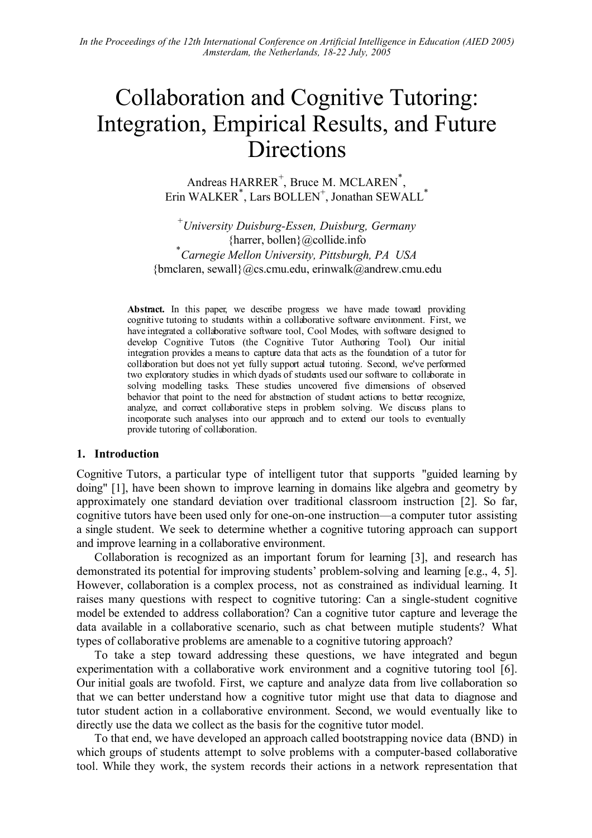# Collaboration and Cognitive Tutoring: Integration, Empirical Results, and Future Directions

Andreas HARRER<sup>+</sup>, Bruce M. MCLAREN<sup>\*</sup>, Erin WALKER<sup>\*</sup>, Lars BOLLEN<sup>+</sup>, Jonathan SEWALL<sup>\*</sup>

*+University Duisburg-Essen, Duisburg, Germany*  ${harrer, bollen}@collide.info$ *Carnegie Mellon University, Pittsburgh, PA USA* {bmclaren, sewall}@cs.cmu.edu, erinwalk@andrew.cmu.edu

Abstract. In this paper, we describe progress we have made toward providing cognitive tutoring to students within a collaborative software environment. First, we have integrated a collaborative software tool, Cool Modes, with software designed to develop Cognitive Tutors (the Cognitive Tutor Authoring Tool). Our initial integration provides a means to capture data that acts as the foundation of a tutor for collaboration but does not yet fully support actual tutoring. Second, we've performed two exploratory studies in which dyads of students used our software to collaborate in solving modelling tasks. These studies uncovered five dimensions of observed behavior that point to the need for abstraction of student actions to better recognize, analyze, and correct collaborative steps in problem solving. We discuss plans to incorporate such analyses into our approach and to extend our tools to eventually provide tutoring of collaboration.

# 1. Introduction

Cognitive Tutors, a particular type of intelligent tutor that supports "guided learning by doing" [1], have been shown to improve learning in domains like algebra and geometry by approximately one standard deviation over traditional classroom instruction [2]. So far, cognitive tutors have been used only for one-on-one instruction—a computer tutor assisting a single student. We seek to determine whether a cognitive tutoring approach can support and improve learning in a collaborative environment.

Collaboration is recognized as an important forum for learning [3], and research has demonstrated its potential for improving students' problem-solving and learning [e.g., 4, 5]. However, collaboration is a complex process, not as constrained as individual learning. It raises many questions with respect to cognitive tutoring: Can a single-student cognitive model be extended to address collaboration? Can a cognitive tutor capture and leverage the data available in a collaborative scenario, such as chat between mutiple students? What types of collaborative problems are amenable to a cognitive tutoring approach?

To take a step toward addressing these questions, we have integrated and begun experimentation with a collaborative work environment and a cognitive tutoring tool [6]. Our initial goals are twofold. First, we capture and analyze data from live collaboration so that we can better understand how a cognitive tutor might use that data to diagnose and tutor student action in a collaborative environment. Second, we would eventually like to directly use the data we collect as the basis for the cognitive tutor model.

To that end, we have developed an approach called bootstrapping novice data (BND) in which groups of students attempt to solve problems with a computer-based collaborative tool. While they work, the system records their actions in a network representation that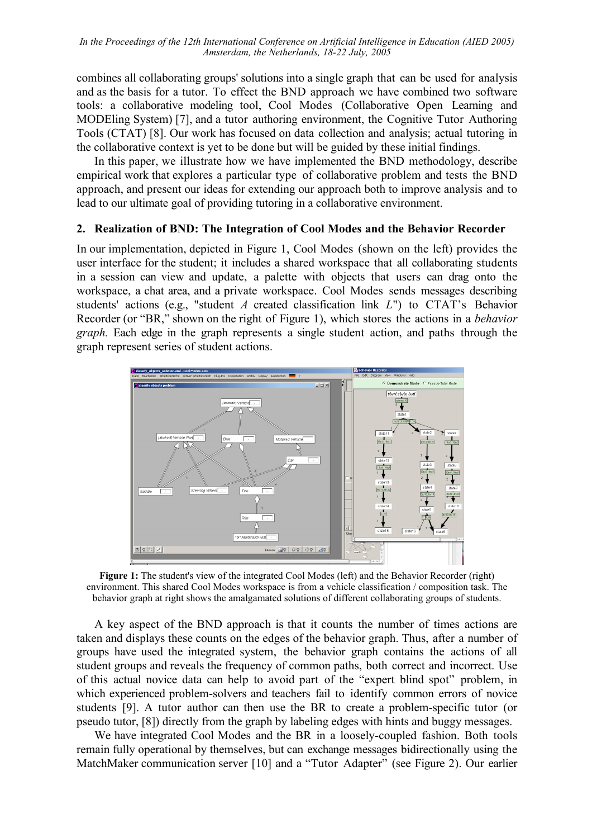*In the Proceedings of the 12th International Conference on Artificial Intelligence in Education (AIED 2005) Amsterdam, the Netherlands, 18-22 July, 2005*

combines all collaborating groups' solutions into a single graph that can be used for analysis and as the basis for a tutor. To effect the BND approach we have combined two software tools: a collaborative modeling tool, Cool Modes (Collaborative Open Learning and MODEling System) [7], and a tutor authoring environment, the Cognitive Tutor Authoring Tools (CTAT) [8]. Our work has focused on data collection and analysis; actual tutoring in the collaborative context is yet to be done but will be guided by these initial findings.

In this paper, we illustrate how we have implemented the BND methodology, describe empirical work that explores a particular type of collaborative problem and tests the BND approach, and present our ideas for extending our approach both to improve analysis and to lead to our ultimate goal of providing tutoring in a collaborative environment.

# 2. Realization of BND: The Integration of Cool Modes and the Behavior Recorder

In our implementation, depicted in Figure 1, Cool Modes (shown on the left) provides the user interface for the student; it includes a shared workspace that all collaborating students in a session can view and update, a palette with objects that users can drag onto the workspace, a chat area, and a private workspace. Cool Modes sends messages describing students' actions (e.g., "student *A* created classification link *L*") to CTAT's Behavior Recorder (or "BR," shown on the right of Figure 1), which stores the actions in a *behavior graph.* Each edge in the graph represents a single student action, and paths through the graph represent series of student actions.



Figure 1: The student's view of the integrated Cool Modes (left) and the Behavior Recorder (right) environment. This shared Cool Modes workspace is from a vehicle classification / composition task. The behavior graph at right shows the amalgamated solutions of different collaborating groups of students.

A key aspect of the BND approach is that it counts the number of times actions are taken and displays these counts on the edges of the behavior graph. Thus, after a number of groups have used the integrated system, the behavior graph contains the actions of all student groups and reveals the frequency of common paths, both correct and incorrect. Use of this actual novice data can help to avoid part of the "expert blind spot" problem, in which experienced problem-solvers and teachers fail to identify common errors of novice students [9]. A tutor author can then use the BR to create a problem-specific tutor (or pseudo tutor, [8]) directly from the graph by labeling edges with hints and buggy messages.

We have integrated Cool Modes and the BR in a loosely-coupled fashion. Both tools remain fully operational by themselves, but can exchange messages bidirectionally using the MatchMaker communication server [10] and a "Tutor Adapter" (see Figure 2). Our earlier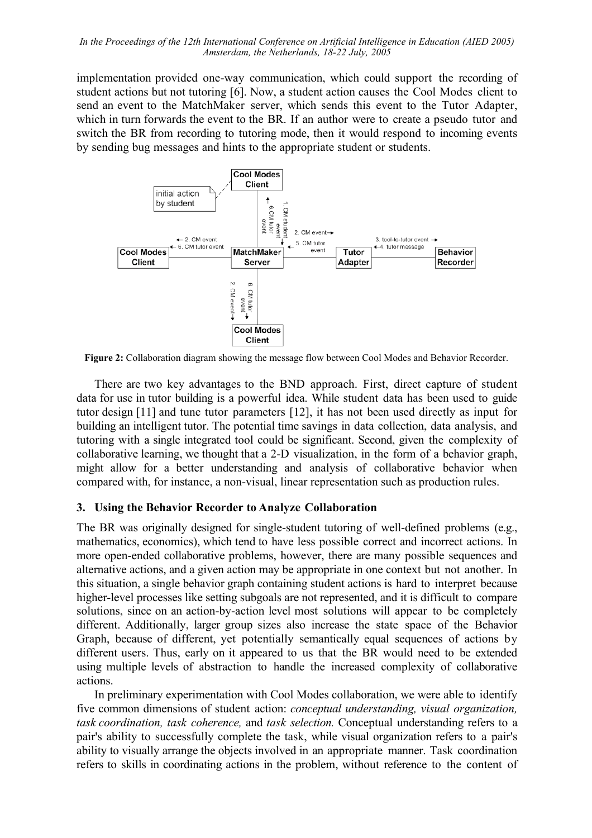implementation provided one-way communication, which could support the recording of student actions but not tutoring [6]. Now, a student action causes the Cool Modes client to send an event to the MatchMaker server, which sends this event to the Tutor Adapter, which in turn forwards the event to the BR. If an author were to create a pseudo tutor and switch the BR from recording to tutoring mode, then it would respond to incoming events by sending bug messages and hints to the appropriate student or students.



Figure 2: Collaboration diagram showing the message flow between Cool Modes and Behavior Recorder.

There are two key advantages to the BND approach. First, direct capture of student data for use in tutor building is a powerful idea. While student data has been used to guide tutor design [11] and tune tutor parameters [12], it has not been used directly as input for building an intelligent tutor. The potential time savings in data collection, data analysis, and tutoring with a single integrated tool could be significant. Second, given the complexity of collaborative learning, we thought that a 2-D visualization, in the form of a behavior graph, might allow for a better understanding and analysis of collaborative behavior when compared with, for instance, a non-visual, linear representation such as production rules.

# 3. Using the Behavior Recorder to Analyze Collaboration

The BR was originally designed for single-student tutoring of well-defined problems (e.g., mathematics, economics), which tend to have less possible correct and incorrect actions. In more open-ended collaborative problems, however, there are many possible sequences and alternative actions, and a given action may be appropriate in one context but not another. In this situation, a single behavior graph containing student actions is hard to interpret because higher-level processes like setting subgoals are not represented, and it is difficult to compare solutions, since on an action-by-action level most solutions will appear to be completely different. Additionally, larger group sizes also increase the state space of the Behavior Graph, because of different, yet potentially semantically equal sequences of actions by different users. Thus, early on it appeared to us that the BR would need to be extended using multiple levels of abstraction to handle the increased complexity of collaborative actions.

In preliminary experimentation with Cool Modes collaboration, we were able to identify five common dimensions of student action: *conceptual understanding, visual organization, task coordination, task coherence,* and *task selection.* Conceptual understanding refers to a pair's ability to successfully complete the task, while visual organization refers to a pair's ability to visually arrange the objects involved in an appropriate manner. Task coordination refers to skills in coordinating actions in the problem, without reference to the content of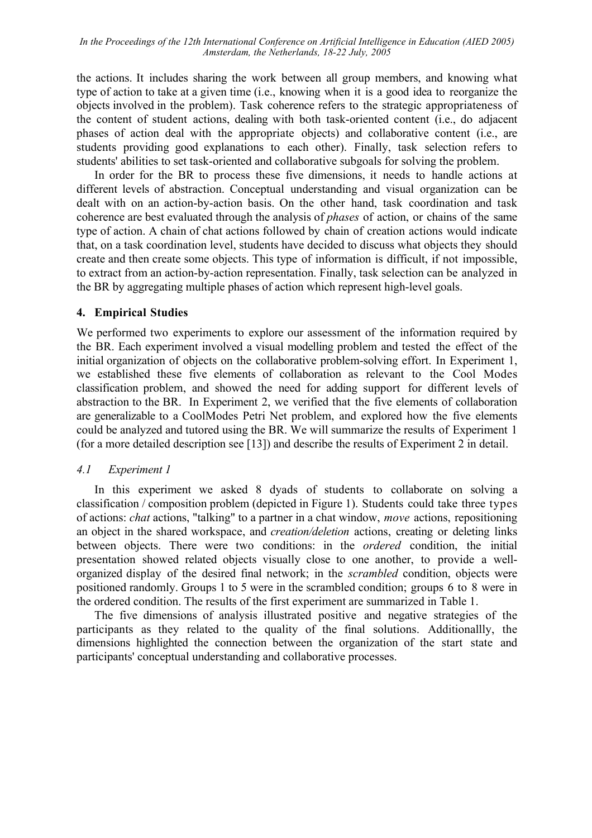*In the Proceedings of the 12th International Conference on Artificial Intelligence in Education (AIED 2005) Amsterdam, the Netherlands, 18-22 July, 2005*

the actions. It includes sharing the work between all group members, and knowing what type of action to take at a given time (i.e., knowing when it is a good idea to reorganize the objects involved in the problem). Task coherence refers to the strategic appropriateness of the content of student actions, dealing with both task-oriented content (i.e., do adjacent phases of action deal with the appropriate objects) and collaborative content (i.e., are students providing good explanations to each other). Finally, task selection refers to students' abilities to set task-oriented and collaborative subgoals for solving the problem.

In order for the BR to process these five dimensions, it needs to handle actions at different levels of abstraction. Conceptual understanding and visual organization can be dealt with on an action-by-action basis. On the other hand, task coordination and task coherence are best evaluated through the analysis of *phases* of action, or chains of the same type of action. A chain of chat actions followed by chain of creation actions would indicate that, on a task coordination level, students have decided to discuss what objects they should create and then create some objects. This type of information is difficult, if not impossible, to extract from an action-by-action representation. Finally, task selection can be analyzed in the BR by aggregating multiple phases of action which represent high-level goals.

# 4. Empirical Studies

We performed two experiments to explore our assessment of the information required by the BR. Each experiment involved a visual modelling problem and tested the effect of the initial organization of objects on the collaborative problem-solving effort. In Experiment 1, we established these five elements of collaboration as relevant to the Cool Modes classification problem, and showed the need for adding support for different levels of abstraction to the BR. In Experiment 2, we verified that the five elements of collaboration are generalizable to a CoolModes Petri Net problem, and explored how the five elements could be analyzed and tutored using the BR. We will summarize the results of Experiment 1 (for a more detailed description see [13]) and describe the results of Experiment 2 in detail.

#### *4.1 Experiment 1*

In this experiment we asked 8 dyads of students to collaborate on solving a classification / composition problem (depicted in Figure 1). Students could take three types of actions: *chat* actions, "talking" to a partner in a chat window, *move* actions, repositioning an object in the shared workspace, and *creation/deletion* actions, creating or deleting links between objects. There were two conditions: in the *ordered* condition, the initial presentation showed related objects visually close to one another, to provide a wellorganized display of the desired final network; in the *scrambled* condition, objects were positioned randomly. Groups 1 to 5 were in the scrambled condition; groups 6 to 8 were in the ordered condition. The results of the first experiment are summarized in Table 1.

The five dimensions of analysis illustrated positive and negative strategies of the participants as they related to the quality of the final solutions. Additionallly, the dimensions highlighted the connection between the organization of the start state and participants' conceptual understanding and collaborative processes.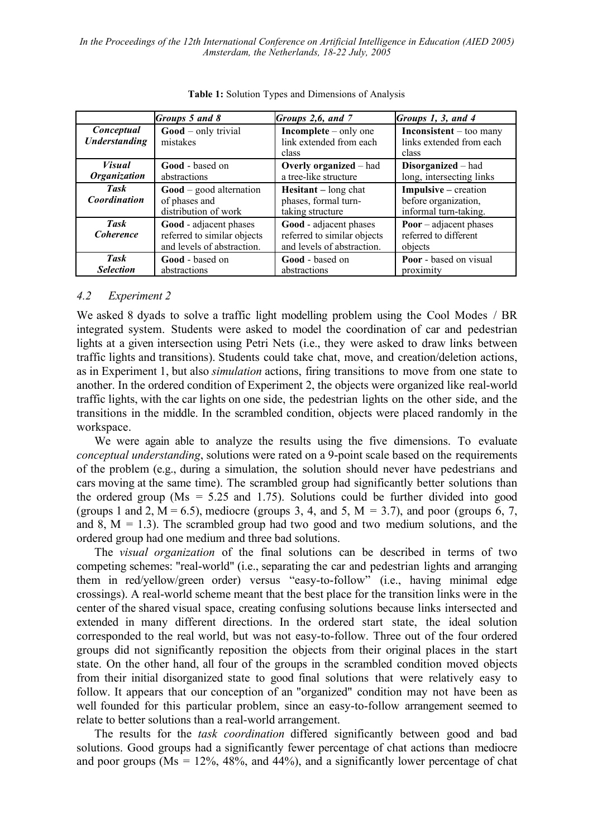|                                      | Groups 5 and 8                                                                      | Groups 2,6, and 7                                                                   | Groups 1, 3, and 4                                                    |
|--------------------------------------|-------------------------------------------------------------------------------------|-------------------------------------------------------------------------------------|-----------------------------------------------------------------------|
| Conceptual<br><b>Understanding</b>   | $Good - only trivial$<br>mistakes                                                   | <b>Incomplete</b> $-$ only one<br>link extended from each<br>class                  | $Inconsistent - too many$<br>links extended from each<br>class        |
| <i>Visual</i><br><b>Organization</b> | Good - based on<br>abstractions                                                     | Overly organized – had<br>a tree-like structure                                     | Disorganized – had<br>long, intersecting links                        |
| Task<br>Coordination                 | $Good$ – good alternation<br>of phases and<br>distribution of work                  | $Hestant – long chat$<br>phases, formal turn-<br>taking structure                   | Impulsive – creation<br>before organization,<br>informal turn-taking. |
| Task<br><b>Coherence</b>             | Good - adjacent phases<br>referred to similar objects<br>and levels of abstraction. | Good - adjacent phases<br>referred to similar objects<br>and levels of abstraction. | <b>Poor</b> – adjacent phases<br>referred to different<br>objects     |
| Task<br><b>Selection</b>             | Good - based on<br>abstractions                                                     | Good - based on<br>abstractions                                                     | <b>Poor</b> - based on visual<br>proximity                            |

Table 1: Solution Types and Dimensions of Analysis

# *4.2 Experiment 2*

We asked 8 dyads to solve a traffic light modelling problem using the Cool Modes / BR integrated system. Students were asked to model the coordination of car and pedestrian lights at a given intersection using Petri Nets (i.e., they were asked to draw links between traffic lights and transitions). Students could take chat, move, and creation/deletion actions, as in Experiment 1, but also *simulation* actions, firing transitions to move from one state to another. In the ordered condition of Experiment 2, the objects were organized like real-world traffic lights, with the car lights on one side, the pedestrian lights on the other side, and the transitions in the middle. In the scrambled condition, objects were placed randomly in the workspace.

We were again able to analyze the results using the five dimensions. To evaluate *conceptual understanding*, solutions were rated on a 9-point scale based on the requirements of the problem (e.g., during a simulation, the solution should never have pedestrians and cars moving at the same time). The scrambled group had significantly better solutions than the ordered group ( $Ms = 5.25$  and 1.75). Solutions could be further divided into good (groups 1 and 2,  $M = 6.5$ ), mediocre (groups 3, 4, and 5,  $M = 3.7$ ), and poor (groups 6, 7, and 8,  $M = 1.3$ ). The scrambled group had two good and two medium solutions, and the ordered group had one medium and three bad solutions.

The *visual organization* of the final solutions can be described in terms of two competing schemes: "real-world" (i.e., separating the car and pedestrian lights and arranging them in red/yellow/green order) versus "easy-to-follow" (i.e., having minimal edge crossings). A real-world scheme meant that the best place for the transition links were in the center of the shared visual space, creating confusing solutions because links intersected and extended in many different directions. In the ordered start state, the ideal solution corresponded to the real world, but was not easy-to-follow. Three out of the four ordered groups did not significantly reposition the objects from their original places in the start state. On the other hand, all four of the groups in the scrambled condition moved objects from their initial disorganized state to good final solutions that were relatively easy to follow. It appears that our conception of an "organized" condition may not have been as well founded for this particular problem, since an easy-to-follow arrangement seemed to relate to better solutions than a real-world arrangement.

The results for the *task coordination* differed significantly between good and bad solutions. Good groups had a significantly fewer percentage of chat actions than mediocre and poor groups ( $Ms = 12\%$ , 48%, and 44%), and a significantly lower percentage of chat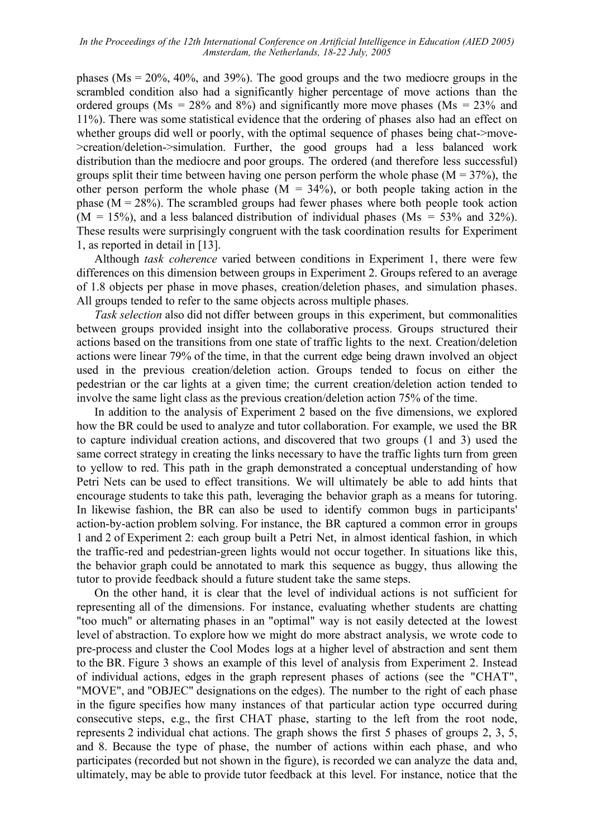phases ( $Ms = 20\%$ , 40%, and 39%). The good groups and the two mediocre groups in the scrambled condition also had a significantly higher percentage of move actions than the ordered groups ( $Ms = 28\%$  and  $8\%)$  and significantly more move phases ( $Ms = 23\%$  and 11%). There was some statistical evidence that the ordering of phases also had an effect on whether groups did well or poorly, with the optimal sequence of phases being chat->move->creation/deletion->simulation. Further, the good groups had a less balanced work distribution than the mediocre and poor groups. The ordered (and therefore less successful) groups split their time between having one person perform the whole phase ( $M = 37\%$ ), the other person perform the whole phase  $(M = 34\%)$ , or both people taking action in the phase  $(M = 28\%)$ . The scrambled groups had fewer phases where both people took action  $(M = 15\%)$ , and a less balanced distribution of individual phases  $(Ms = 53\%$  and 32%). These results were surprisingly congruent with the task coordination results for Experiment 1, as reported in detail in [13].

Although *task coherence* varied between conditions in Experiment 1, there were few differences on this dimension between groups in Experiment 2. Groups refered to an average of 1.8 objects per phase in move phases, creation/deletion phases, and simulation phases. All groups tended to refer to the same objects across multiple phases.

*Task selection* also did not differ between groups in this experiment, but commonalities between groups provided insight into the collaborative process. Groups structured their actions based on the transitions from one state of traffic lights to the next. Creation/deletion actions were linear 79% of the time, in that the current edge being drawn involved an object used in the previous creation/deletion action. Groups tended to focus on either the pedestrian or the car lights at a given time; the current creation/deletion action tended to involve the same light class as the previous creation/deletion action 75% of the time.

In addition to the analysis of Experiment 2 based on the five dimensions, we explored how the BR could be used to analyze and tutor collaboration. For example, we used the BR to capture individual creation actions, and discovered that two groups (1 and 3) used the same correct strategy in creating the links necessary to have the traffic lights turn from green to yellow to red. This path in the graph demonstrated a conceptual understanding of how Petri Nets can be used to effect transitions. We will ultimately be able to add hints that encourage students to take this path, leveraging the behavior graph as a means for tutoring. In likewise fashion, the BR can also be used to identify common bugs in participants' action-by-action problem solving. For instance, the BR captured a common error in groups 1 and 2 of Experiment 2: each group built a Petri Net, in almost identical fashion, in which the traffic-red and pedestrian-green lights would not occur together. In situations like this, the behavior graph could be annotated to mark this sequence as buggy, thus allowing the tutor to provide feedback should a future student take the same steps.

On the other hand, it is clear that the level of individual actions is not sufficient for representing all of the dimensions. For instance, evaluating whether students are chatting "too much" or alternating phases in an "optimal" way is not easily detected at the lowest level of abstraction. To explore how we might do more abstract analysis, we wrote code to pre-process and cluster the Cool Modes logs at a higher level of abstraction and sent them to the BR. Figure 3 shows an example of this level of analysis from Experiment 2. Instead of individual actions, edges in the graph represent phases of actions (see the "CHAT", "MOVE", and "OBJEC" designations on the edges). The number to the right of each phase in the figure specifies how many instances of that particular action type occurred during consecutive steps, e.g., the first CHAT phase, starting to the left from the root node, represents 2 individual chat actions. The graph shows the first 5 phases of groups 2, 3, 5, and 8. Because the type of phase, the number of actions within each phase, and who participates (recorded but not shown in the figure), is recorded we can analyze the data and, ultimately, may be able to provide tutor feedback at this level. For instance, notice that the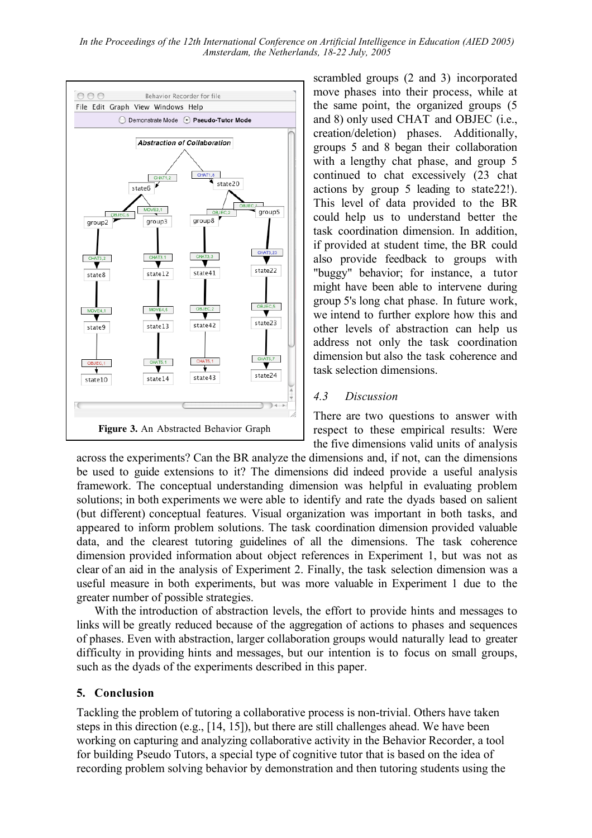*In the Proceedings of the 12th International Conference on Artificial Intelligence in Education (AIED 2005) Amsterdam, the Netherlands, 18-22 July, 2005*



scrambled groups (2 and 3) incorporated move phases into their process, while at the same point, the organized groups (5 and 8) only used CHAT and OBJEC (i.e., creation/deletion) phases. Additionally, groups 5 and 8 began their collaboration with a lengthy chat phase, and group 5 continued to chat excessively (23 chat actions by group 5 leading to state22!). This level of data provided to the BR could help us to understand better the task coordination dimension. In addition, if provided at student time, the BR could also provide feedback to groups with "buggy" behavior; for instance, a tutor might have been able to intervene during group 5's long chat phase. In future work, we intend to further explore how this and other levels of abstraction can help us address not only the task coordination dimension but also the task coherence and task selection dimensions.

# *4.3 Discussion*

There are two questions to answer with respect to these empirical results: Were the five dimensions valid units of analysis

across the experiments? Can the BR analyze the dimensions and, if not, can the dimensions be used to guide extensions to it? The dimensions did indeed provide a useful analysis framework. The conceptual understanding dimension was helpful in evaluating problem solutions; in both experiments we were able to identify and rate the dyads based on salient (but different) conceptual features. Visual organization was important in both tasks, and appeared to inform problem solutions. The task coordination dimension provided valuable data, and the clearest tutoring guidelines of all the dimensions. The task coherence dimension provided information about object references in Experiment 1, but was not as clear of an aid in the analysis of Experiment 2. Finally, the task selection dimension was a useful measure in both experiments, but was more valuable in Experiment 1 due to the greater number of possible strategies.

With the introduction of abstraction levels, the effort to provide hints and messages to links will be greatly reduced because of the aggregation of actions to phases and sequences of phases. Even with abstraction, larger collaboration groups would naturally lead to greater difficulty in providing hints and messages, but our intention is to focus on small groups, such as the dyads of the experiments described in this paper.

# 5. Conclusion

Tackling the problem of tutoring a collaborative process is non-trivial. Others have taken steps in this direction (e.g., [14, 15]), but there are still challenges ahead. We have been working on capturing and analyzing collaborative activity in the Behavior Recorder, a tool for building Pseudo Tutors, a special type of cognitive tutor that is based on the idea of recording problem solving behavior by demonstration and then tutoring students using the